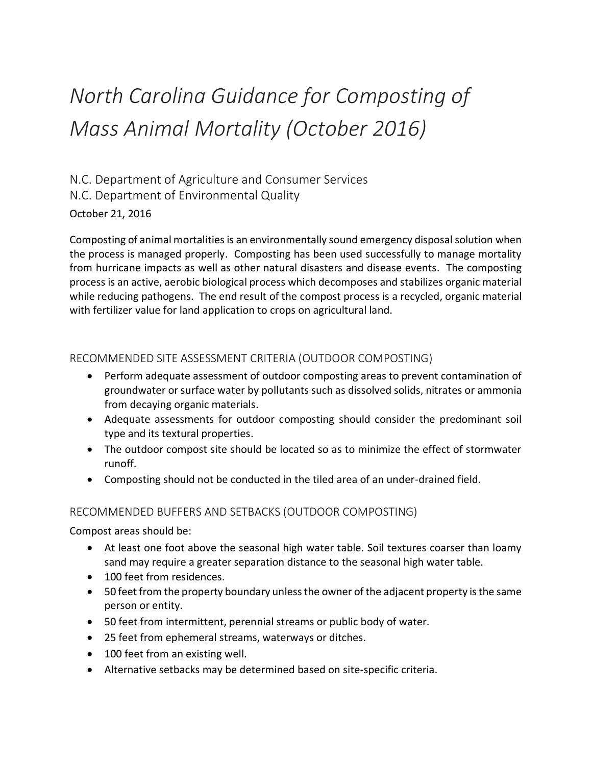# *North Carolina Guidance for Composting of Mass Animal Mortality (October 2016)*

N.C. Department of Agriculture and Consumer Services N.C. Department of Environmental Quality October 21, 2016

Composting of animal mortalities is an environmentally sound emergency disposal solution when the process is managed properly. Composting has been used successfully to manage mortality from hurricane impacts as well as other natural disasters and disease events. The composting process is an active, aerobic biological process which decomposes and stabilizes organic material while reducing pathogens. The end result of the compost process is a recycled, organic material with fertilizer value for land application to crops on agricultural land.

#### RECOMMENDED SITE ASSESSMENT CRITERIA (OUTDOOR COMPOSTING)

- Perform adequate assessment of outdoor composting areas to prevent contamination of groundwater or surface water by pollutants such as dissolved solids, nitrates or ammonia from decaying organic materials.
- Adequate assessments for outdoor composting should consider the predominant soil type and its textural properties.
- The outdoor compost site should be located so as to minimize the effect of stormwater runoff.
- Composting should not be conducted in the tiled area of an under-drained field.

#### RECOMMENDED BUFFERS AND SETBACKS (OUTDOOR COMPOSTING)

Compost areas should be:

- At least one foot above the seasonal high water table. Soil textures coarser than loamy sand may require a greater separation distance to the seasonal high water table.
- 100 feet from residences.
- 50 feet from the property boundary unless the owner of the adjacent property is the same person or entity.
- 50 feet from intermittent, perennial streams or public body of water.
- 25 feet from ephemeral streams, waterways or ditches.
- 100 feet from an existing well.
- Alternative setbacks may be determined based on site-specific criteria.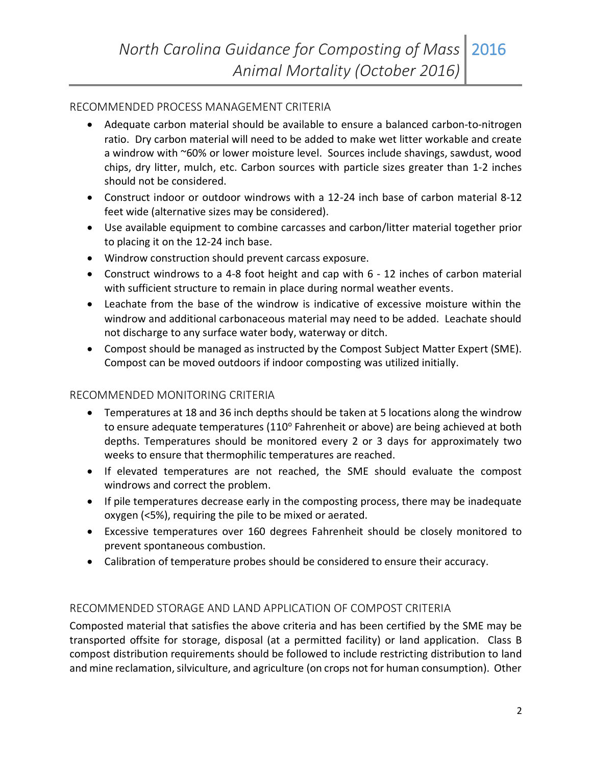### RECOMMENDED PROCESS MANAGEMENT CRITERIA

- Adequate carbon material should be available to ensure a balanced carbon-to-nitrogen ratio. Dry carbon material will need to be added to make wet litter workable and create a windrow with ~60% or lower moisture level. Sources include shavings, sawdust, wood chips, dry litter, mulch, etc. Carbon sources with particle sizes greater than 1-2 inches should not be considered.
- Construct indoor or outdoor windrows with a 12-24 inch base of carbon material 8-12 feet wide (alternative sizes may be considered).
- Use available equipment to combine carcasses and carbon/litter material together prior to placing it on the 12-24 inch base.
- Windrow construction should prevent carcass exposure.
- Construct windrows to a 4-8 foot height and cap with 6 12 inches of carbon material with sufficient structure to remain in place during normal weather events.
- Leachate from the base of the windrow is indicative of excessive moisture within the windrow and additional carbonaceous material may need to be added. Leachate should not discharge to any surface water body, waterway or ditch.
- Compost should be managed as instructed by the Compost Subject Matter Expert (SME). Compost can be moved outdoors if indoor composting was utilized initially.

## RECOMMENDED MONITORING CRITERIA

- Temperatures at 18 and 36 inch depths should be taken at 5 locations along the windrow to ensure adequate temperatures (110° Fahrenheit or above) are being achieved at both depths. Temperatures should be monitored every 2 or 3 days for approximately two weeks to ensure that thermophilic temperatures are reached.
- If elevated temperatures are not reached, the SME should evaluate the compost windrows and correct the problem.
- If pile temperatures decrease early in the composting process, there may be inadequate oxygen (<5%), requiring the pile to be mixed or aerated.
- Excessive temperatures over 160 degrees Fahrenheit should be closely monitored to prevent spontaneous combustion.
- Calibration of temperature probes should be considered to ensure their accuracy.

## RECOMMENDED STORAGE AND LAND APPLICATION OF COMPOST CRITERIA

Composted material that satisfies the above criteria and has been certified by the SME may be transported offsite for storage, disposal (at a permitted facility) or land application. Class B compost distribution requirements should be followed to include restricting distribution to land and mine reclamation, silviculture, and agriculture (on crops not for human consumption). Other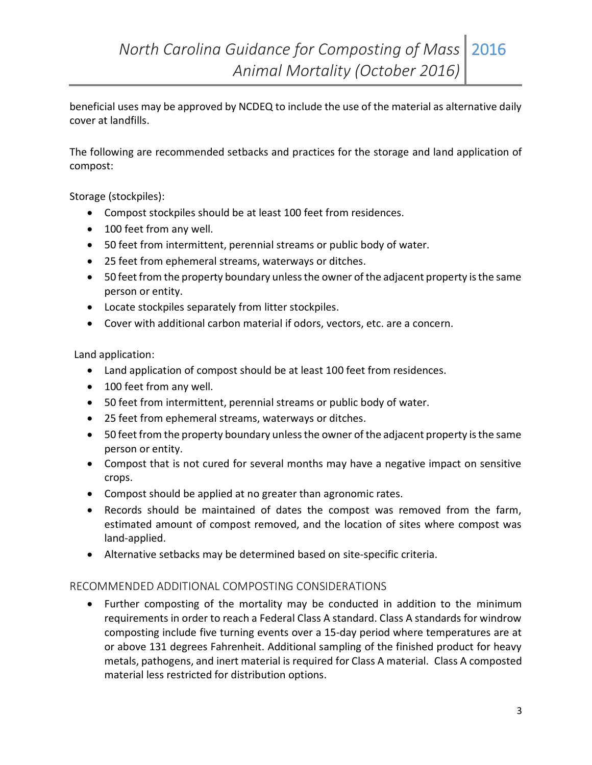beneficial uses may be approved by NCDEQ to include the use of the material as alternative daily cover at landfills.

The following are recommended setbacks and practices for the storage and land application of compost:

Storage (stockpiles):

- Compost stockpiles should be at least 100 feet from residences.
- 100 feet from any well.
- 50 feet from intermittent, perennial streams or public body of water.
- 25 feet from ephemeral streams, waterways or ditches.
- 50 feet from the property boundary unless the owner of the adjacent property is the same person or entity.
- Locate stockpiles separately from litter stockpiles.
- Cover with additional carbon material if odors, vectors, etc. are a concern.

Land application:

- Land application of compost should be at least 100 feet from residences.
- 100 feet from any well.
- 50 feet from intermittent, perennial streams or public body of water.
- 25 feet from ephemeral streams, waterways or ditches.
- 50 feet from the property boundary unless the owner of the adjacent property is the same person or entity.
- Compost that is not cured for several months may have a negative impact on sensitive crops.
- Compost should be applied at no greater than agronomic rates.
- Records should be maintained of dates the compost was removed from the farm, estimated amount of compost removed, and the location of sites where compost was land-applied.
- Alternative setbacks may be determined based on site-specific criteria.

#### RECOMMENDED ADDITIONAL COMPOSTING CONSIDERATIONS

 Further composting of the mortality may be conducted in addition to the minimum requirements in order to reach a Federal Class A standard. Class A standards for windrow composting include five turning events over a 15-day period where temperatures are at or above 131 degrees Fahrenheit. Additional sampling of the finished product for heavy metals, pathogens, and inert material is required for Class A material. Class A composted material less restricted for distribution options.